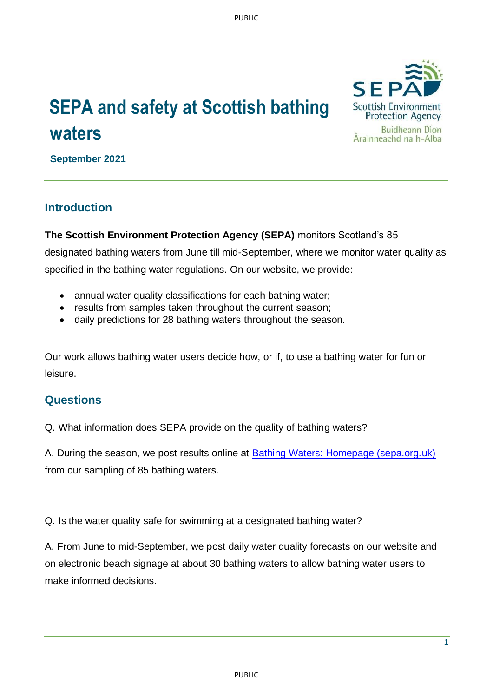## **SEPA and safety at Scottish bathing waters**



**September 2021**

## **Introduction**

**The Scottish Environment Protection Agency (SEPA)** monitors Scotland's 85 designated bathing waters from June till mid-September, where we monitor water quality as specified in the bathing water regulations. On our website, we provide:

- annual water quality classifications for each bathing water;
- results from samples taken throughout the current season;
- daily predictions for 28 bathing waters throughout the season.

Our work allows bathing water users decide how, or if, to use a bathing water for fun or leisure.

## **Questions**

Q. What information does SEPA provide on the quality of bathing waters?

A. During the season, we post results online at [Bathing Waters: Homepage \(sepa.org.uk\)](https://www2.sepa.org.uk/bathingwaters/) from our sampling of 85 bathing waters.

Q. Is the water quality safe for swimming at a designated bathing water?

A. From June to mid-September, we post daily water quality forecasts on our website and on electronic beach signage at about 30 bathing waters to allow bathing water users to make informed decisions.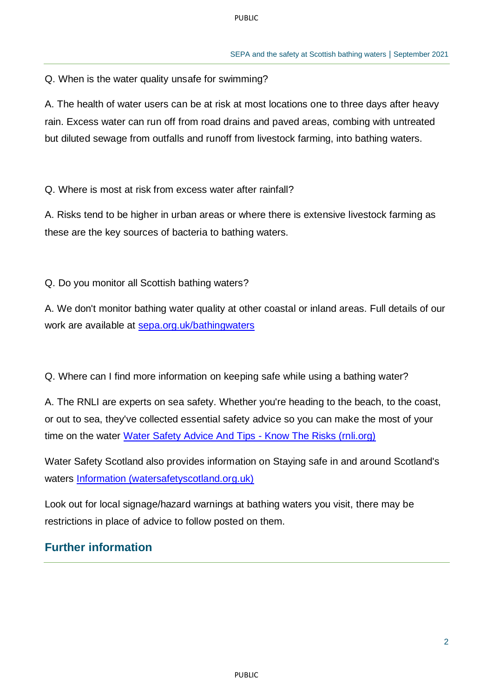Q. When is the water quality unsafe for swimming?

A. The health of water users can be at risk at most locations one to three days after heavy rain. Excess water can run off from road drains and paved areas, combing with untreated but diluted sewage from outfalls and runoff from livestock farming, into bathing waters.

Q. Where is most at risk from excess water after rainfall?

A. Risks tend to be higher in urban areas or where there is extensive livestock farming as these are the key sources of bacteria to bathing waters.

Q. Do you monitor all Scottish bathing waters?

A. We don't monitor bathing water quality at other coastal or inland areas. Full details of our work are available at [sepa.org.uk/bathingwaters](http://www.sepa.org.uk/bathingwaters)

Q. Where can I find more information on keeping safe while using a bathing water?

A. The RNLI are experts on sea safety. Whether you're heading to the beach, to the coast, or out to sea, they've collected essential safety advice so you can make the most of your time on the water [Water Safety Advice And Tips -](https://rnli.org/safety) Know The Risks (rnli.org)

Water Safety Scotland also provides information on Staying safe in and around Scotland's waters [Information \(watersafetyscotland.org.uk\)](https://www.watersafetyscotland.org.uk/information/)

Look out for local signage/hazard warnings at bathing waters you visit, there may be restrictions in place of advice to follow posted on them.

## **Further information**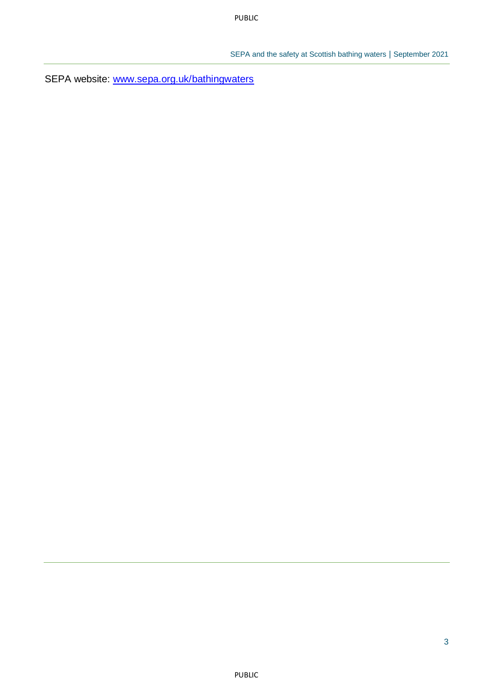SEPA website: [www.sepa.org.uk/bathingwaters](http://www.sepa.org.uk/bathingwaters)